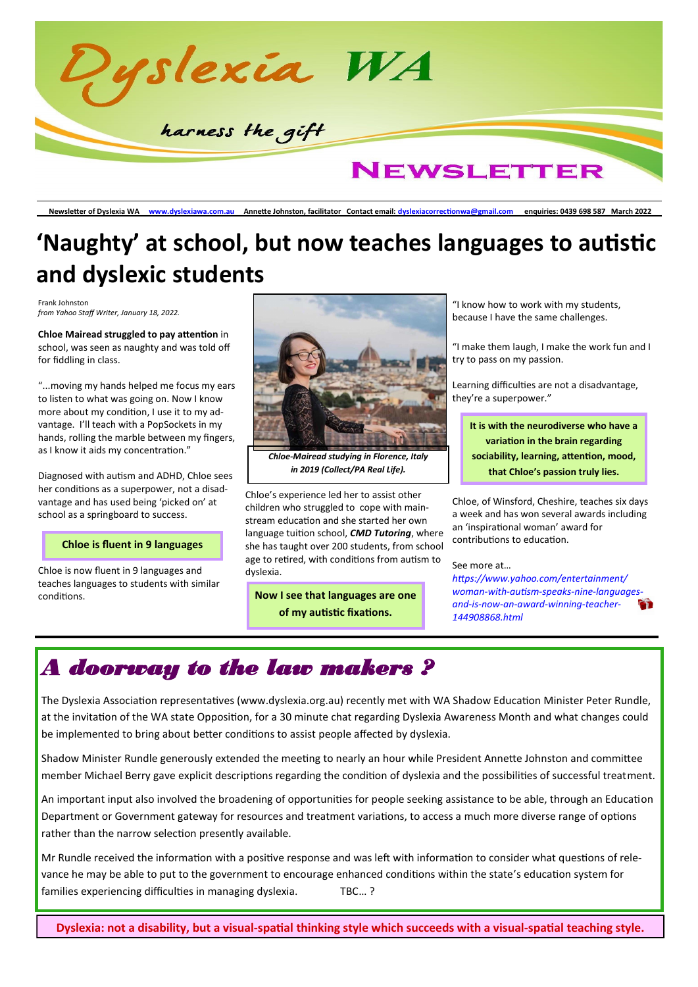

**Newsletter of Dyslexia WA www.dyslexiawa.com.au Annette Johnston, facilitator Contact email: dyslexiacorrectionwa@gmail.com enquiries: 0439 698 587 March 2022**

## **'Naughty' at school, but now teaches languages to autistic and dyslexic students**

Frank Johnston *from Yahoo Staff Writer, January 18, 2022.*

**Chloe Mairead struggled to pay attention** in school, was seen as naughty and was told off for fiddling in class.

"...moving my hands helped me focus my ears to listen to what was going on. Now I know more about my condition, I use it to my advantage. I'll teach with a PopSockets in my hands, rolling the marble between my fingers, as I know it aids my concentration."

Diagnosed with autism and ADHD, Chloe sees her conditions as a superpower, not a disadvantage and has used being 'picked on' at school as a springboard to success.

#### **Chloe is fluent in 9 languages**

Chloe is now fluent in 9 languages and teaches languages to students with similar conditions.



*Chloe-Mairead studying in Florence, Italy in 2019 (Collect/PA Real Life).* 

Chloe's experience led her to assist other children who struggled to cope with mainstream education and she started her own language tuition school, *CMD Tutoring*, where she has taught over 200 students, from school age to retired, with conditions from autism to dyslexia.

**Now I see that languages are one of my autistic fixations.** 

"I know how to work with my students, because I have the same challenges.

"I make them laugh, I make the work fun and I try to pass on my passion.

Learning difficulties are not a disadvantage, they're a superpower."

**It is with the neurodiverse who have a variation in the brain regarding sociability, learning, attention, mood, that Chloe's passion truly lies.** 

Chloe, of Winsford, Cheshire, teaches six days a week and has won several awards including an 'inspirational woman' award for contributions to education.

#### See more at…

*https://www.yahoo.com/entertainment/ woman-with-autism-speaks-nine-languagesand-is-now-an-award-winning-teacher-144908868.html*

### *A doorway to the law makers ?*

The Dyslexia Association representatives (www.dyslexia.org.au) recently met with WA Shadow Education Minister Peter Rundle, at the invitation of the WA state Opposition, for a 30 minute chat regarding Dyslexia Awareness Month and what changes could be implemented to bring about better conditions to assist people affected by dyslexia.

Shadow Minister Rundle generously extended the meeting to nearly an hour while President Annette Johnston and committee member Michael Berry gave explicit descriptions regarding the condition of dyslexia and the possibilities of successful treatment.

An important input also involved the broadening of opportunities for people seeking assistance to be able, through an Education Department or Government gateway for resources and treatment variations, to access a much more diverse range of options rather than the narrow selection presently available.

Mr Rundle received the information with a positive response and was left with information to consider what questions of relevance he may be able to put to the government to encourage enhanced conditions within the state's education system for families experiencing difficulties in managing dyslexia. TBC...?

**Dyslexia: not a disability, but a visual-spatial thinking style which succeeds with a visual-spatial teaching style.**